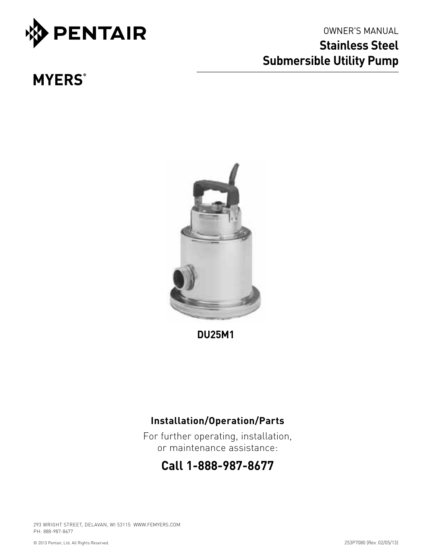

# owner's manual **Stainless Steel Submersible Utility Pump**

# **MYERS**<sup>®</sup>



**DU25M1**

# **Installation/Operation/Parts**

For further operating, installation, or maintenance assistance:

# **Call 1-888-987-8677**

293 WRIGHT STREET, DELAVAN, WI 53115 WWW.FEMYERS.COM PH: 888-987-8677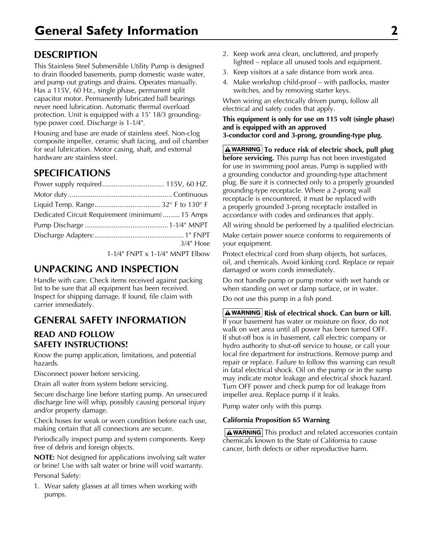## **Description**

This Stainless Steel Submersible Utility Pump is designed to drain flooded basements, pump domestic waste water, and pump out gratings and drains. Operates manually. Has a 115V, 60 Hz., single phase, permanent split capacitor motor. Permanently lubricated ball bearings never need lubrication. Automatic thermal overload protection. Unit is equipped with a 15' 18/3 groundingtype power cord. Discharge is 1-1⁄4".

Housing and base are made of stainless steel. Non-clog composite impeller, ceramic shaft facing, and oil chamber for seal lubrication. Motor casing, shaft, and external hardware are stainless steel.

## **Specifications**

| Dedicated Circuit Requirement (minimum) 15 Amps |              |
|-------------------------------------------------|--------------|
|                                                 |              |
|                                                 |              |
|                                                 | $3/4$ " Hose |

1-1⁄4" FNPT x 1-1⁄4" MNPT Elbow

### **Unpacking and Inspection**

Handle with care. Check items received against packing list to be sure that all equipment has been received. Inspect for shipping damage. If found, file claim with carrier immediately.

### **General Safety Information**

#### **READ AND FOLLOW SAFETY INSTRUCTIONS!**

Know the pump application, limitations, and potential hazards.

Disconnect power before servicing.

Drain all water from system before servicing.

Secure discharge line before starting pump. An unsecured discharge line will whip, possibly causing personal injury and/or property damage.

Check hoses for weak or worn condition before each use, making certain that all connections are secure.

Periodically inspect pump and system components. Keep free of debris and foreign objects.

**NOTE:** Not designed for applications involving salt water or brine! Use with salt water or brine will void warranty. Personal Safety:

1. Wear safety glasses at all times when working with pumps.

- 2. Keep work area clean, uncluttered, and properly lighted – replace all unused tools and equipment.
- 3. Keep visitors at a safe distance from work area.
- 4. Make workshop child-proof with padlocks, master switches, and by removing starter keys.

When wiring an electrically driven pump, follow all electrical and safety codes that apply.

**This equipment is only for use on 115 volt (single phase) and is equipped with an approved 3-conductor cord and 3-prong, grounding-type plug.**

**A** WARNING To reduce risk of electric shock, pull plug **before servicing.** This pump has not been investigated for use in swimming pool areas. Pump is supplied with a grounding conductor and grounding-type attachment plug. Be sure it is connected only to a properly grounded grounding-type receptacle. Where a 2-prong wall receptacle is encountered, it must be replaced with a properly grounded 3-prong receptacle installed in accordance with codes and ordinances that apply.

All wiring should be performed by a qualified electrician.

Make certain power source conforms to requirements of your equipment.

Protect electrical cord from sharp objects, hot surfaces, oil, and chemicals. Avoid kinking cord. Replace or repair damaged or worn cords immediately.

Do not handle pump or pump motor with wet hands or when standing on wet or damp surface, or in water.

Do not use this pump in a fish pond.

**A** WARNING Risk of electrical shock. Can burn or kill. If your basement has water or moisture on floor, do not walk on wet area until all power has been turned OFF. If shut-off box is in basement, call electric company or hydro authority to shut-off service to house, or call your local fire department for instructions. Remove pump and repair or replace. Failure to follow this warning can result in fatal electrical shock. Oil on the pump or in the sump may indicate motor leakage and electrical shock hazard. Turn OFF power and check pump for oil leakage from impeller area. Replace pump if it leaks.

Pump water only with this pump.

#### **California Proposition 65 Warning**

 $\Delta$  WARNING This product and related accessories contain chemicals known to the State of California to cause cancer, birth defects or other reproductive harm.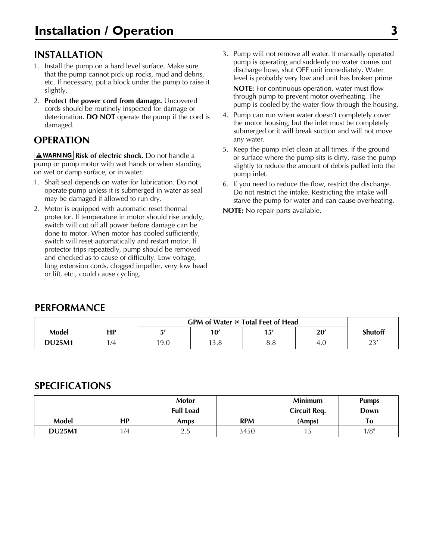## **Installation**

- 1. Install the pump on a hard level surface. Make sure that the pump cannot pick up rocks, mud and debris, etc. If necessary, put a block under the pump to raise it slightly.
- 2. **Protect the power cord from damage.** Uncovered cords should be routinely inspected for damage or deterioration. **DO NOT** operate the pump if the cord is damaged.

## **Operation**

**A WARNING** Risk of electric shock. Do not handle a pump or pump motor with wet hands or when standing on wet or damp surface, or in water.

- 1. Shaft seal depends on water for lubrication. Do not operate pump unless it is submerged in water as seal may be damaged if allowed to run dry.
- 2. Motor is equipped with automatic reset thermal protector. If temperature in motor should rise unduly, switch will cut off all power before damage can be done to motor. When motor has cooled sufficiently, switch will reset automatically and restart motor. If protector trips repeatedly, pump should be removed and checked as to cause of difficulty. Low voltage, long extension cords, clogged impeller, very low head or lift, etc., could cause cycling.

3. Pump will not remove all water. If manually operated pump is operating and suddenly no water comes out discharge hose, shut OFF unit immediately. Water level is probably very low and unit has broken prime.

**NOTE:** For continuous operation, water must flow through pump to prevent motor overheating. The pump is cooled by the water flow through the housing.

- 4. Pump can run when water doesn't completely cover the motor housing, but the inlet must be completely submerged or it will break suction and will not move any water.
- 5. Keep the pump inlet clean at all times. If the ground or surface where the pump sits is dirty, raise the pump slightly to reduce the amount of debris pulled into the pump inlet.
- 6. If you need to reduce the flow, restrict the discharge. Do not restrict the intake. Restricting the intake will starve the pump for water and can cause overheating.

**NOTE:** No repair parts available.

#### **PERFORMANCE**

|               |    |      | GPM of Water @ Total Feet of Head |           |      |                |  |
|---------------|----|------|-----------------------------------|-----------|------|----------------|--|
| Model         | НP | ᆮ    | 10'                               | 15'       | 20'  | <b>Shutoff</b> |  |
| <b>DU25M1</b> | /4 | 19.0 | 13.8                              | oο<br>o.o | -4.U | つつ<br>ر ے      |  |

#### **Specifications**

|               |     | <b>Motor</b><br><b>Full Load</b> |            | <b>Minimum</b><br><b>Circuit Reg.</b> | <b>Pumps</b><br>Down |
|---------------|-----|----------------------------------|------------|---------------------------------------|----------------------|
| Model         | НP  | <b>Amps</b>                      | <b>RPM</b> | (Amps)                                | To                   |
| <b>DU25M1</b> | 1/4 | ر . ے                            | 3450       | IJ                                    | $1/8$ "              |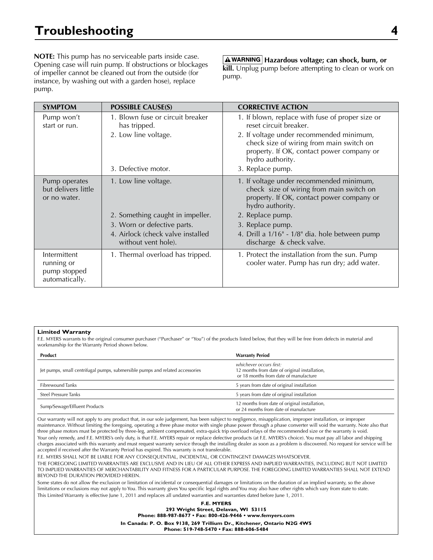**NOTE:** This pump has no serviceable parts inside case. Opening case will ruin pump. If obstructions or blockages of impeller cannot be cleaned out from the outside (for instance, by washing out with a garden hose), replace pump.

**Hazardous voltage; can shock, burn, or kill.** Unplug pump before attempting to clean or work on pump.

| <b>SYMPTOM</b>                                               | <b>POSSIBLE CAUSE(S)</b>                                 | <b>CORRECTIVE ACTION</b>                                                                                                                              |
|--------------------------------------------------------------|----------------------------------------------------------|-------------------------------------------------------------------------------------------------------------------------------------------------------|
| Pump won't<br>start or run.                                  | 1. Blown fuse or circuit breaker<br>has tripped.         | 1. If blown, replace with fuse of proper size or<br>reset circuit breaker.                                                                            |
|                                                              | 2. Low line voltage.                                     | 2. If voltage under recommended minimum,<br>check size of wiring from main switch on<br>property. If OK, contact power company or<br>hydro authority. |
|                                                              | 3. Defective motor.                                      | 3. Replace pump.                                                                                                                                      |
| Pump operates<br>but delivers little<br>or no water.         | 1. Low line voltage.                                     | 1. If voltage under recommended minimum,<br>check size of wiring from main switch on<br>property. If OK, contact power company or<br>hydro authority. |
|                                                              | 2. Something caught in impeller.                         | 2. Replace pump.                                                                                                                                      |
|                                                              | 3. Worn or defective parts.                              | 3. Replace pump.                                                                                                                                      |
|                                                              | 4. Airlock (check valve installed<br>without vent hole). | 4. Drill a 1/16" - 1/8" dia. hole between pump<br>discharge & check valve.                                                                            |
| Intermittent<br>running or<br>pump stopped<br>automatically. | 1. Thermal overload has tripped.                         | 1. Protect the installation from the sun. Pump<br>cooler water. Pump has run dry; add water.                                                          |

#### **Limited Warranty**

F.E. MYERS warrants to the original consumer purchaser ("Purchaser" or "You") of the products listed below, that they will be free from defects in material and workmanship for the Warranty Period shown below.

| Product                                                                       | <b>Warranty Period</b>                                                                                            |
|-------------------------------------------------------------------------------|-------------------------------------------------------------------------------------------------------------------|
| Jet pumps, small centrifugal pumps, submersible pumps and related accessories | whichever occurs first:<br>12 months from date of original installation,<br>or 18 months from date of manufacture |
| <b>Fibrewound Tanks</b>                                                       | 5 years from date of original installation                                                                        |
| Steel Pressure Tanks                                                          | 5 years from date of original installation                                                                        |
| Sump/Sewage/Effluent Products                                                 | 12 months from date of original installation,<br>or 24 months from date of manufacture                            |

Our warranty will not apply to any product that, in our sole judgement, has been subject to negligence, misapplication, improper installation, or improper maintenance. Without limiting the foregoing, operating a three phase motor with single phase power through a phase converter will void the warranty. Note also that three phase motors must be protected by three-leg, ambient compensated, extra-quick trip overload relays of the recommended size or the warranty is void. Your only remedy, and F.E. MYERS's only duty, is that F.E. MYERS repair or replace defective products (at F.E. MYERS's choice). You must pay all labor and shipping charges associated with this warranty and must request warranty service through the installing dealer as soon as a problem is discovered. No request for service will be accepted if received after the Warranty Period has expired. This warranty is not transferable.

F.E. MYERS SHALL NOT BE LIABLE FOR ANY CONSEQUENTIAL, INCIDENTAL, OR CONTINGENT DAMAGES WHATSOEVER.

THE FOREGOING LIMITED WARRANTIES ARE EXCLUSIVE AND IN LIEU OF ALL OTHER EXPRESS AND IMPLIED WARRANTIES, INCLUDING BUT NOT LIMITED TO IMPLIED WARRANTIES OF MERCHANTABILITY AND FITNESS FOR A PARTICULAR PURPOSE. THE FOREGOING LIMITED WARRANTIES SHALL NOT EXTEND BEYOND THE DURATION PROVIDED HEREIN.

Some states do not allow the exclusion or limitation of incidental or consequential damages or limitations on the duration of an implied warranty, so the above limitations or exclusions may not apply to You. This warranty gives You specific legal rights and You may also have other rights which vary from state to state. This Limited Warranty is effective June 1, 2011 and replaces all undated warranties and warranties dated before June 1, 2011.

> **F.E. MYERS 293 Wright Street, Delavan, WI 53115 Phone: 888-987-8677 • Fax: 800-426-9446 • www.femyers.com In Canada: P. O. Box 9138, 269 Trillium Dr., Kitchener, Ontario N2G 4W5**

**Phone: 519-748-5470 • Fax: 888-606-5484**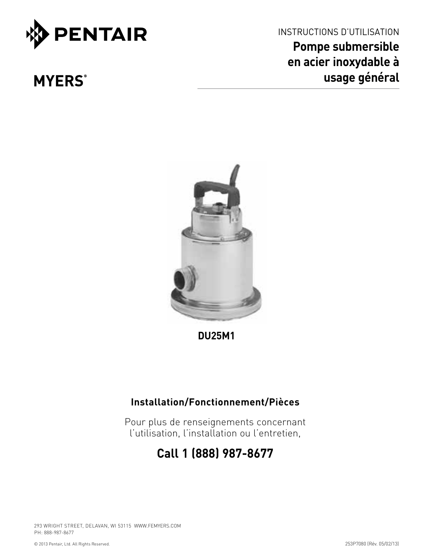

**MYERS**<sup>®</sup>

INSTRUCTIONS D'UTILISATION **Pompe submersible en acier inoxydable à usage général**



**DU25M1**

# **Installation/Fonctionnement/Pièces**

Pour plus de renseignements concernant l'utilisation, l'installation ou l'entretien,

# **Call 1 (888) 987-8677**

293 WRIGHT STREET, DELAVAN, WI 53115 WWW.FEMYERS.COM PH: 888-987-8677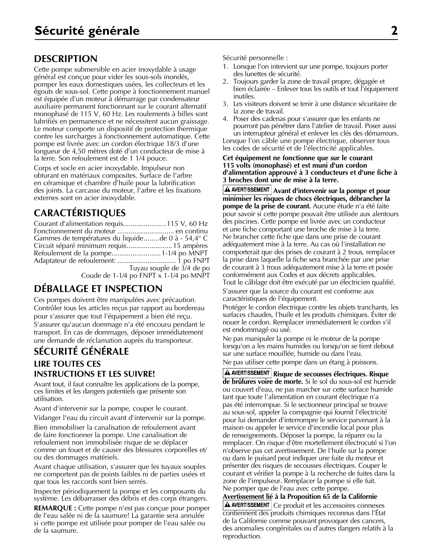## **Description**

Cette pompe submersible en acier inoxydable à usage général est conçue pour vider les sous-sols inondés, pomper les eaux domestiques usées, les collecteurs et les égouts de sous-sol. Cette pompe à fonctionnement manuel est équipée d'un moteur à démarrage par condensateur auxiliaire permanent fonctionnant sur le courant alternatif monophasé de 115 V, 60 Hz. Les roulements à billes sont lubrifiés en permanence et ne nécessitent aucun graissage. Le moteur comporte un dispositif de protection thermique contre les surcharges à fonctionnement automatique. Cette pompe est livrée avec un cordon électrique 18/3 d'une longueur de 4,50 mètres doté d'un conducteur de mise à la terre. Son refoulement est de 1 1/4 pouce.

Corps et socle en acier inoxydable. Impulseur non obturant en matériaux composites. Surface de l'arbre en céramique et chambre d'huile pour la lubrification des joints. La carcasse du moteur, l'arbre et les fixations externes sont en acier inoxydable.

# **Caractéristiques**

| Courant d'alimentation requis115 V, 60 Hz        |                           |
|--------------------------------------------------|---------------------------|
|                                                  |                           |
| Gammes de températures du liquidede 0 à - 54,4°C |                           |
| Circuit séparé minimum requis 15 ampères         |                           |
|                                                  |                           |
|                                                  |                           |
|                                                  | Tuyau souple de 3/4 de po |
| Coude de 1-1/4 po FNPT x 1-1/4 po MNPT           |                           |

# **Déballage et inspection**

Ces pompes doivent être manipulées avec précaution. Contrôler tous les articles reçus par rapport au bordereau pour s'assurer que tout l'équipement a bien été reçu. S'assurer qu'aucun dommage n'a été encouru pendant le transport. En cas de dommages, déposer immédiatement une demande de réclamation auprès du transporteur.

## **Sécurité générale LIRE TOUTES CES INSTRUCTIONS ET LES SUIVRE!**

Avant tout, il faut connaître les applications de la pompe, ces limites et les dangers potentiels que présente son utilisation.

Avant d'intervenir sur la pompe, couper le courant.

Vidanger l'eau du circuit avant d'intervenir sur la pompe.

Bien immobiliser la canalisation de refoulement avant de faire fonctionner la pompe. Une canalisation de refoulement non immobilisée risque de se déplacer comme un fouet et de causer des blessures corporelles et/ ou des dommages matériels.

Avant chaque utilisation, s'assurer que les tuyaux souples ne comportent pas de points faibles ni de parties usées et que tous les raccords sont bien serrés.

Inspecter périodiquement la pompe et les composants du système. Les débarrasser des débris et des corps étrangers.

**REMARQUE :** Cette pompe n'est pas conçue pour pomper de l'eau salée ni de la saumure! La garantie sera annulée si cette pompe est utilisée pour pomper de l'eau salée ou de la saumure.

Sécurité personnelle :

- 1. Lorsque l'on intervient sur une pompe, toujours porter des lunettes de sécurité.
- 2. Toujours garder la zone de travail propre, dégagée et bien éclairée – Enlever tous les outils et tout l'équipement inutiles.
- 3. Les visiteurs doivent se tenir à une distance sécuritaire de la zone de travail.
- 4. Poser des cadenas pour s'assurer que les enfants ne pourront pas pénétrer dans l'atelier de travail. Poser aussi un interrupteur général et enlever les clés des démarreurs. Lorsque l'on câble une pompe électrique, observer tous les codes de sécurité et de l'électricité applicables.

#### **Cet équipement ne fonctionne que sur le courant 115 volts (monophasé) et est muni d'un cordon d'alimentation approuvé à 3 conducteurs et d'une fiche à 3 broches dont une de mise à la terre.**

**Avant d'intervenir sur la pompe et pour minimiser les risques de chocs électriques, débrancher la pompe de la prise de courant.** Aucune étude n'a été faite pour savoir si cette pompe pouvait être utilisée aux alentours des piscines. Cette pompe est livrée avec un conducteur et une fiche comportant une broche de mise à la terre. Ne brancher cette fiche que dans une prise de courant adéquatement mise à la terre. Au cas où l'installation ne comporterait que des prises de courant à 2 trous, remplacer la prise dans laquelle la fiche sera branchée par une prise de courant à 3 trous adéquatement mise à la terre et posée conformément aux Codes et aux décrets applicables. Tout le câblage doit être exécuté par un électricien qualifié.

S'assurer que la source du courant est conforme aux caractéristiques de l'équipement.

Protéger le cordon électrique contre les objets tranchants, les surfaces chaudes, l'huile et les produits chimiques. Éviter de nouer le cordon. Remplacer immédiatement le cordon s'il est endommagé ou usé.

Ne pas manipuler la pompe ni le moteur de la pompe lorsqu'on a les mains humides ou lorsqu'on se tient debout sur une surface mouillée, humide ou dans l'eau.

Ne pas utiliser cette pompe dans un étang à poissons.

**Risque de secousses électriques. Risque de brûlures voire de morte.** Si le sol du sous-sol est humide ou couvert d'eau, ne pas marcher sur cette surface humide tant que toute l'alimentation en courant électrique n'a pas été interrompue. Si le sectionneur principal se trouve au sous-sol, appeler la compagnie qui fournit l'électricité pour lui demander d'interrompre le service parvenant à la maison ou appeler le service d'incendie local pour plus de renseignements. Déposer la pompe, la réparer ou la remplacer. On risque d'être mortellement électrocuté si l'on n'observe pas cet avertissement. De l'huile sur la pompe ou dans le puisard peut indiquer une fuite du moteur et présenter des risques de secousses électriques. Couper le courant et vérifier la pompe à la recherche de fuites dans la zone de l'impulseur. Remplacer la pompe si elle fuit. Ne pomper que de l'eau avec cette pompe.

**Avertissement lié à la Proposition 65 de la Californie** 

A AVERTISSEMENT Ce produit et les accessoires connexes contiennent des produits chimiques reconnus dans l'État de la Californie comme pouvant provoquer des cancers, des anomalies congénitales ou d'autres dangers relatifs à la reproduction.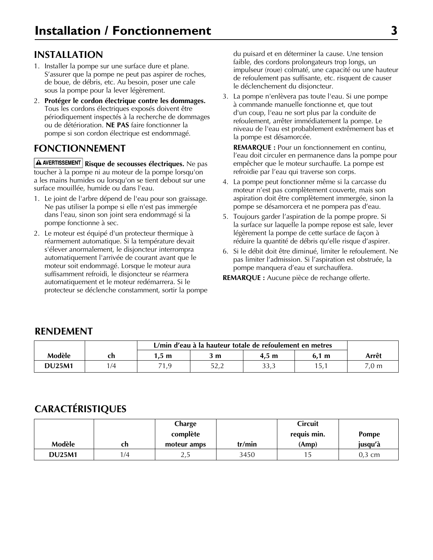# **Installation**

- 1. Installer la pompe sur une surface dure et plane. S'assurer que la pompe ne peut pas aspirer de roches, de boue, de débris, etc. Au besoin, poser une cale sous la pompe pour la lever légèrement.
- 2. **Protéger le cordon électrique contre les dommages.**  Tous les cordons électriques exposés doivent être périodiquement inspectés à la recherche de dommages ou de détérioration. **NE PAS** faire fonctionner la pompe si son cordon électrique est endommagé.

# **Fonctionnement**

A AVERTISSEMENT Risque de secousses électriques. Ne pas toucher à la pompe ni au moteur de la pompe lorsqu'on a les mains humides ou lorsqu'on se tient debout sur une surface mouillée, humide ou dans l'eau.

- 1. Le joint de l'arbre dépend de l'eau pour son graissage. Ne pas utiliser la pompe si elle n'est pas immergée dans l'eau, sinon son joint sera endommagé si la pompe fonctionne à sec.
- 2. Le moteur est équipé d'un protecteur thermique à réarmement automatique. Si la température devait s'élever anormalement, le disjoncteur interrompra automatiquement l'arrivée de courant avant que le moteur soit endommagé. Lorsque le moteur aura suffisamment refroidi, le disjoncteur se réarmera automatiquement et le moteur redémarrera. Si le protecteur se déclenche constamment, sortir la pompe

du puisard et en déterminer la cause. Une tension faible, des cordons prolongateurs trop longs, un impulseur (roue) colmaté, une capacité ou une hauteur de refoulement pas suffisante, etc. risquent de causer le déclenchement du disjoncteur.

3. La pompe n'enlèvera pas toute l'eau. Si une pompe à commande manuelle fonctionne et, que tout d'un coup, l'eau ne sort plus par la conduite de refoulement, arrêter immédiatement la pompe. Le niveau de l'eau est probablement extrêmement bas et la pompe est désamorcée.

**REMARQUE :** Pour un fonctionnement en continu, l'eau doit circuler en permanence dans la pompe pour empêcher que le moteur surchauffe. La pompe est refroidie par l'eau qui traverse son corps.

- 4. La pompe peut fonctionner même si la carcasse du moteur n'est pas complètement couverte, mais son aspiration doit être complètement immergée, sinon la pompe se désamorcera et ne pompera pas d'eau.
- 5. Toujours garder l'aspiration de la pompe propre. Si la surface sur laquelle la pompe repose est sale, lever légèrement la pompe de cette surface de façon à réduire la quantité de débris qu'elle risque d'aspirer.
- 6. Si le débit doit être diminué, limiter le refoulement. Ne pas limiter l'admission. Si l'aspiration est obstruée, la pompe manquera d'eau et surchauffera.

**REMARQUE :** Aucune pièce de rechange offerte.

### **Rendement**

|               |     | L/min d'eau à la hauteur totale de refoulement en metres |                 |                 |       |                 |
|---------------|-----|----------------------------------------------------------|-----------------|-----------------|-------|-----------------|
| Modèle        |     | 1.5 m                                                    | יm?             | $4.5 \text{ m}$ | 6.1 m | Arrêt           |
| <b>DU25M1</b> | 1/4 | 71,9                                                     | ロつ つ<br>ے , ے ر | 33,3            | 15.1  | $7.0 \text{ m}$ |

# **Caractéristiques**

|               |     | Charge      |        | <b>Circuit</b> |              |
|---------------|-----|-------------|--------|----------------|--------------|
|               |     | complète    |        | requis min.    | <b>Pompe</b> |
| Modèle        | ch  | moteur amps | tr/min | (Amp)          | jusqu'à      |
| <b>DU25M1</b> | 1/4 | ں ،         | 3450   |                | 0,3 cm       |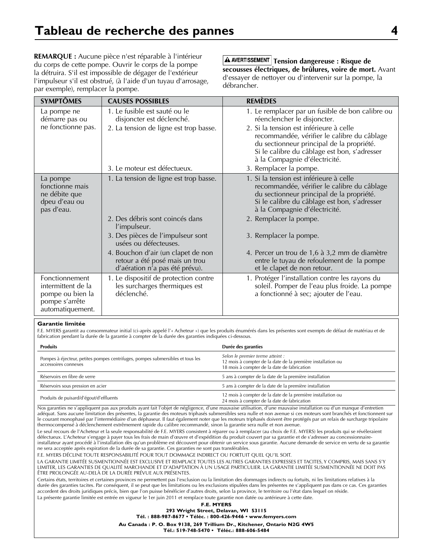**REMARQUE :** Aucune pièce n'est réparable à l'intérieur du corps de cette pompe. Ouvrir le corps de la pompe la détruira. S'il est impossible de dégager de l'extérieur l'impulseur s'il est obstrué, (à l'aide d'un tuyau d'arrosage, par exemple), remplacer la pompe.

 $\overline{\textbf{A}}$  AVERTISSEMENT Tension dangereuse : Risque de **secousses électriques, de brûlures, voire de mort.** Avant d'essayer de nettoyer ou d'intervenir sur la pompe, la débrancher.

| <b>SYMPTÔMES</b>                                                                               | <b>CAUSES POSSIBLES</b>                                                                                | <b>REMÈDES</b>                                                                                                                                                                                                       |
|------------------------------------------------------------------------------------------------|--------------------------------------------------------------------------------------------------------|----------------------------------------------------------------------------------------------------------------------------------------------------------------------------------------------------------------------|
| La pompe ne<br>démarre pas ou                                                                  | 1. Le fusible est sauté ou le<br>disjoncter est déclenché.                                             | 1. Le remplacer par un fusible de bon calibre ou<br>réenclencher le disjoncter.                                                                                                                                      |
| ne fonctionne pas.                                                                             | 2. La tension de ligne est trop basse.                                                                 | 2. Si la tension est inférieure à celle<br>recommandée, vérifier le calibre du câblage<br>du sectionneur principal de la propriété.<br>Si le calibre du câblage est bon, s'adresser<br>à la Compagnie d'électricité. |
|                                                                                                | 3. Le moteur est défectueux.                                                                           | 3. Remplacer la pompe.                                                                                                                                                                                               |
| La pompe<br>fonctionne mais<br>ne débite que<br>dpeu d'eau ou<br>pas d'eau.                    | 1. La tension de ligne est trop basse.                                                                 | 1. Si la tension est inférieure à celle<br>recommandée, vérifier le calibre du câblage<br>du sectionneur principal de la propriété.<br>Si le calibre du câblage est bon, s'adresser<br>à la Compagnie d'électricité. |
|                                                                                                | 2. Des débris sont coincés dans<br>l'impulseur.                                                        | 2. Remplacer la pompe.                                                                                                                                                                                               |
|                                                                                                | 3. Des pièces de l'impulseur sont<br>usées ou défecteuses.                                             | 3. Remplacer la pompe.                                                                                                                                                                                               |
|                                                                                                | 4. Bouchon d'air (un clapet de non<br>retour a été posé mais un trou<br>d'aération n'a pas été prévu). | 4. Percer un trou de 1,6 à 3,2 mm de diamètre<br>entre le tuyau de refoulement de la pompe<br>et le clapet de non retour.                                                                                            |
| Fonctionnement<br>intermittent de la<br>pompe ou bien la<br>pompe s'arrête<br>automatiquement. | 1. Le dispositif de protection contre<br>les surcharges thermiques est<br>déclenché.                   | 1. Protéger l'installation contre les rayons du<br>soleil. Pomper de l'eau plus froide. La pompe<br>a fonctionné à sec; ajouter de l'eau.                                                                            |

#### **Garantie limitée**

F.E. MYERS garantit au consommateur initial (ci-après appelé l'« Acheteur ») que les produits énumérés dans les présentes sont exempts de défaut de matériau et de fabrication pendant la durée de la garantie à compter de la durée des garanties indiquées ci-dessous.

| <b>Produits</b>                                                                                        | Durée des garanties                                                                                                                            |
|--------------------------------------------------------------------------------------------------------|------------------------------------------------------------------------------------------------------------------------------------------------|
| Pompes à éjecteur, petites pompes centrifuges, pompes submersibles et tous les<br>accessoires connexes | Selon le premier terme atteint :<br>12 mois à compter de la date de la première installation ou<br>18 mois à compter de la date de fabrication |
| Réservoirs en fibre de verre                                                                           | 5 ans à compter de la date de la première installation                                                                                         |
| Réservoirs sous pression en acier                                                                      | 5 ans à compter de la date de la première installation                                                                                         |
| Produits de puisard/d'égout/d'effluents                                                                | 12 mois à compter de la date de la première installation ou<br>24 mois à compter de la date de fabrication                                     |

Nos garanties ne s'appliquent pas aux produits ayant fait l'objet de négligence, d'une mauvaise utilisation, d'une mauvaise installation ou d'un manque d'entretien adéquat. Sans aucune limitation des présentes, la garantie des moteurs triphasés submersibles sera nulle et non avenue si ces moteurs sont branchés et fonctionnent sur le courant monophasé par l'intermédiaire d'un déphaseur. Il faut également noter que les moteurs triphasés doivent être protégés par un relais de surcharge tripolaire thermocompensé à déclenchement extrêmement rapide du calibre recommandé, sinon la garantie sera nulle et non avenue.

Le seul recours de l'Acheteur et la seule responsabilité de F.E. MYERS consistent à réparer ou à remplacer (au choix de F.E. MYERS) les produits qui se révéleraient défectueux. L'Acheteur s'engage à payer tous les frais de main d'œuvre et d'expédition du produit couvert par sa garantie et de s'adresser au concessionnaireinstallateur ayant procédé à l'installation dès qu'un problème est découvert pour obtenir un service sous garantie. Aucune demande de service en vertu de sa garantie ne sera acceptée après expiration de la durée de sa garantie. Ces garanties ne sont pas transférables.

F.E. MYERS DÉCLINE TOUTE RESPONSABILITÉ POUR TOUT DOMMAGE INDIRECT OU FORTUIT QUEL QU'IL SOIT.

LA GARANTIE LIMITÉE SUSMENTIONNÉE EST EXCLUSIVE ET REMPLACE TOUTES LES AUTRES GARANTIES EXPRESSES ET TACITES, Y COMPRIS, MAIS SANS S'Y LIMITER, LES GARANTIES DE QUALITÉ MARCHANDE ET D'ADAPTATION À UN USAGE PARTICULIER. LA GARANTIE LIMITÉE SUSMENTIONNÉE NE DOIT PAS ÊTRE PROLONGÉE AU-DELÀ DE LA DURÉE PRÉVUE AUX PRÉSENTES.

Certains états, territoires et certaines provinces ne permettent pas l'exclusion ou la limitation des dommages indirects ou fortuits, ni les limitations relatives à la durée des garanties tacites. Par conséquent, il se peut que les limitations ou les exclusions stipulées dans les présentes ne s'appliquent pas dans ce cas. Ces garanties accordent des droits juridiques précis, bien que l'on puisse bénéficier d'autres droits, selon la province, le territoire ou l'état dans lequel on réside. La présente garantie limitée est entrée en vigueur le 1er juin 2011 et remplace toute garantie non datée ou antérieure à cette date.

**F.E. MYERS 293 Wright Street, Delavan, WI 53115 Tél. : 888-987-8677 • Téléc. : 800-426-9446 • www.femyers.com Au Canada : P. O. Box 9138, 269 Trillium Dr., Kitchener, Ontario N2G 4W5 Tél.: 519-748-5470 • Téléc.: 888-606-5484**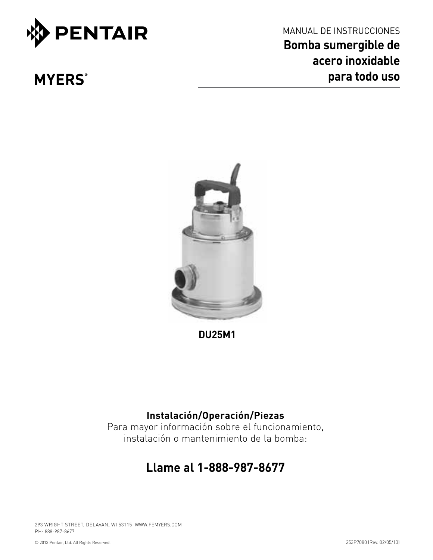

**MYERS**®

MANUAL DE INSTRUCCIONES **Bomba sumergible de acero inoxidable para todo uso**



**DU25M1**

# **Instalación/Operación/Piezas**

Para mayor información sobre el funcionamiento, instalación o mantenimiento de la bomba:

# **Llame al 1-888-987-8677**

293 WRIGHT STREET, DELAVAN, WI 53115 WWW.FEMYERS.COM PH: 888-987-8677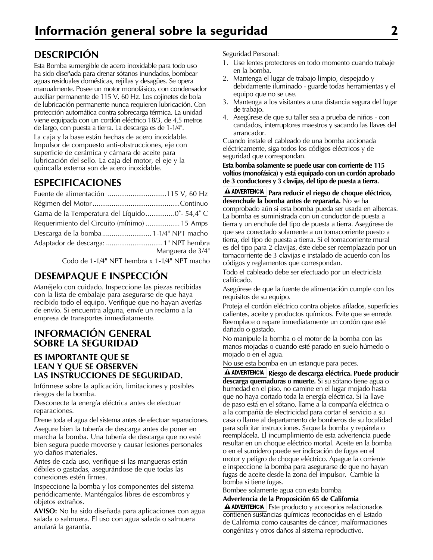# **Descripción**

Esta Bomba sumergible de acero inoxidable para todo uso ha sido diseñada para drenar sótanos inundados, bombear aguas residuales domésticas, rejillas y desagües. Se opera manualmente. Posee un motor monofásico, con condensador auxiliar permanente de 115 V, 60 Hz. Los cojinetes de bola de lubricación permanente nunca requieren lubricación. Con protección automática contra sobrecarga térmica. La unidad viene equipada con un cordón eléctrico 18/3, de 4,5 metros de largo, con puesta a tierra. La descarga es de 1-1⁄4". La caja y la base están hechas de acero inoxidable. Impulsor de compuesto anti-obstrucciones, eje con superficie de cerámica y cámara de aceite para lubricación del sello. La caja del motor, el eje y la quincalla externa son de acero inoxidable.

# **Especificaciones**

| Gama de la Temperatura del Líquido 0° - 54,4° C |                  |
|-------------------------------------------------|------------------|
| Requerimiento del Circuito (mínimo)  15 Amps    |                  |
|                                                 |                  |
|                                                 |                  |
|                                                 | Manguera de 3/4" |
|                                                 |                  |

Codo de 1-1⁄4" NPT hembra x 1-1⁄4" NPT macho

# **Desempaque e inspección**

Manéjelo con cuidado. Inspeccione las piezas recibidas con la lista de embalaje para asegurarse de que haya recibido todo el equipo. Verifique que no hayan averías de envío. Si encuentra alguna, envíe un reclamo a la empresa de transportes inmediatamente.

### **Información general sobre la seguridad**

#### **ES IMPORTANTE QUE SE LEAN Y QUE SE OBSERVEN LAS INSTRUCCIONES DE SEGURIDAD.**

Infórmese sobre la aplicación, limitaciones y posibles riesgos de la bomba.

Desconecte la energía eléctrica antes de efectuar reparaciones.

Drene toda el agua del sistema antes de efectuar reparaciones.

Asegure bien la tubería de descarga antes de poner en marcha la bomba. Una tubería de descarga que no esté bien segura puede moverse y causar lesiones personales y/o daños materiales.

Antes de cada uso, verifique si las mangueras están débiles o gastadas, asegurándose de que todas las conexiones estén firmes.

Inspeccione la bomba y los componentes del sistema periódicamente. Manténgalos libres de escombros y objetos extraños.

**AVISO:** No ha sido diseñada para aplicaciones con agua salada o salmuera. El uso con agua salada o salmuera anulará la garantía.

Seguridad Personal:

- 1. Use lentes protectores en todo momento cuando trabaje en la bomba.
- 2. Mantenga el lugar de trabajo limpio, despejado y debidamente iluminado - guarde todas herramientas y el equipo que no se use.
- 3. Mantenga a los visitantes a una distancia segura del lugar de trabajo.
- 4. Asegúrese de que su taller sea a prueba de niños con candados, interruptores maestros y sacando las llaves del arrancador.

Cuando instale el cableado de una bomba accionada eléctricamente, siga todos los códigos eléctricos y de seguridad que correspondan.

#### **Esta bomba solamente se puede usar con corriente de 115 voltios (monofásica) y está equipado con un cordón aprobado de 3 conductores y 3 clavijas, del tipo de puesta a tierra.**

**A ADVERTENCIA** Para reducir el riegso de choque eléctrico, **desenchufe la bomba antes de repararla.** No se ha comprobado aún si esta bomba pueda ser usada en albercas. La bomba es suministrada con un conductor de puesta a tierra y un enchufe del tipo de puesta a tierra. Asegúrese de que sea conectado solamente a un tomacorriente puesto a tierra, del tipo de puesta a tierra. Si el tomacorriente mural es del tipo para 2 clavijas, éste debe ser reemplazado por un tomacorriente de 3 clavijas e instalado de acuerdo con los códigos y reglamentos que correspondan.

Todo el cableado debe ser efectuado por un electricista calificado.

Asegúrese de que la fuente de alimentación cumple con los requisitos de su equipo.

Proteja el cordón eléctrico contra objetos afilados, superficies calientes, aceite y productos químicos. Evite que se enrede. Reemplace o repare inmediatamente un cordón que esté dañado o gastado.

No manipule la bomba o el motor de la bomba con las manos mojadas o cuando esté parado en suelo húmedo o mojado o en el agua.

No use esta bomba en un estanque para peces.

**Riesgo de descarga eléctrica. Puede producir descarga quemaduras o muerte.** Si su sótano tiene agua o humedad en el piso, no camine en el lugar mojado hasta que no haya cortado toda la energía eléctrica. Si la llave de paso está en el sótano, llame a la compañía eléctrica o a la compañía de electricidad para cortar el servicio a su casa o llame al departamento de bomberos de su localidad para solicitar instrucciones. Saque la bomba y repárela o reemplácela. El incumplimiento de esta advertencia puede resultar en un choque eléctrico mortal. Aceite en la bomba o en el sumidero puede ser indicación de fugas en el motor y peligro de choque eléctrico. Apague la corriente e inspeccione la bomba para asegurarse de que no hayan fugas de aceite desde la zona del impulsor. Cambie la bomba si tiene fugas.

Bombee solamente agua con esta bomba.

#### **Advertencia de la Proposición 65 de California**

 $\triangle$  ADVERTENCIA | Este producto y accesorios relacionados contienen sustancias químicas reconocidas en el Estado de California como causantes de cáncer, malformaciones congénitas y otros daños al sistema reproductivo.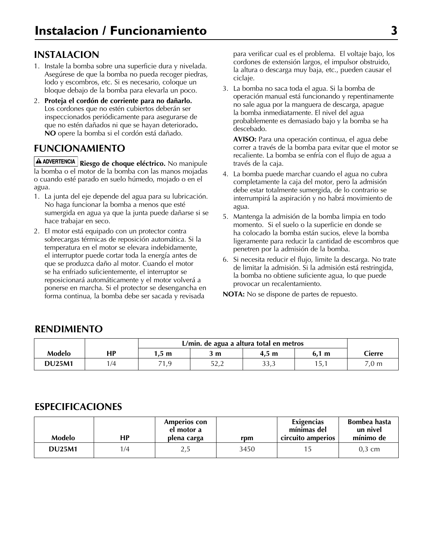## **Instalacion**

- 1. Instale la bomba sobre una superficie dura y nivelada. Asegúrese de que la bomba no pueda recoger piedras, lodo y escombros, etc. Si es necesario, coloque un bloque debajo de la bomba para elevarla un poco.
- 2. **Proteja el cordón de corriente para no dañarlo.** Los cordones que no estén cubiertos deberán ser inspeccionados periódicamente para asegurarse de que no estén dañados ni que se hayan deteriorado**. NO** opere la bomba si el cordón está dañado.

# **Funcionamiento**

**Riesgo de choque eléctrico.** No manipule la bomba o el motor de la bomba con las manos mojadas o cuando esté parado en suelo húmedo, mojado o en el agua.

- 1. La junta del eje depende del agua para su lubricación. No haga funcionar la bomba a menos que esté sumergida en agua ya que la junta puede dañarse si se hace trabajar en seco.
- 2. El motor está equipado con un protector contra sobrecargas térmicas de reposición automática. Si la temperatura en el motor se elevara indebidamente, el interruptor puede cortar toda la energía antes de que se produzca daño al motor. Cuando el motor se ha enfriado suficientemente, el interruptor se reposicionará automáticamente y el motor volverá a ponerse en marcha. Si el protector se desengancha en forma continua, la bomba debe ser sacada y revisada

para verificar cual es el problema. El voltaje bajo, los cordones de extensión largos, el impulsor obstruido, la altura o descarga muy baja, etc., pueden causar el ciclaje.

3. La bomba no saca toda el agua. Si la bomba de operación manual está funcionando y repentinamente no sale agua por la manguera de descarga, apague la bomba inmediatamente. El nivel del agua probablemente es demasiado bajo y la bomba se ha descebado.

**AVISO:** Para una operación continua, el agua debe correr a través de la bomba para evitar que el motor se recaliente. La bomba se enfría con el flujo de agua a través de la caja.

- 4. La bomba puede marchar cuando el agua no cubra completamente la caja del motor, pero la admisión debe estar totalmente sumergida, de lo contrario se interrumpirá la aspiración y no habrá movimiento de agua.
- 5. Mantenga la admisión de la bomba limpia en todo momento. Si el suelo o la superficie en donde se ha colocado la bomba están sucios, eleve la bomba ligeramente para reducir la cantidad de escombros que penetren por la admisión de la bomba.
- 6. Si necesita reducir el flujo, limite la descarga. No trate de limitar la admisión. Si la admisión está restringida, la bomba no obtiene suficiente agua, lo que puede provocar un recalentamiento.

**NOTA:** No se dispone de partes de repuesto.

#### **Rendimiento**

|               |    |                | L/min. de agua a altura total en metros |                 |       |                 |  |
|---------------|----|----------------|-----------------------------------------|-----------------|-------|-----------------|--|
| Modelo        | НP | $.5 \text{ m}$ | 3 m                                     | $4.5 \text{ m}$ | 6.1 m | Cierre          |  |
| <b>DU25M1</b> | /4 | 71,9           | ピク つ<br>ے , ے                           | 33,3            | , ن   | $7,0 \text{ m}$ |  |

### **Especificaciones**

| Modelo        | НP  | <b>Amperios con</b><br>el motor a<br>plena carga | rpm  | Exigencias<br>mínimas del<br>circuito amperios | Bombea hasta<br>un nivel<br>mínimo de |
|---------------|-----|--------------------------------------------------|------|------------------------------------------------|---------------------------------------|
| <b>DU25M1</b> | 1/4 | د, ∠                                             | 3450 |                                                | $0.3 \text{ cm}$                      |